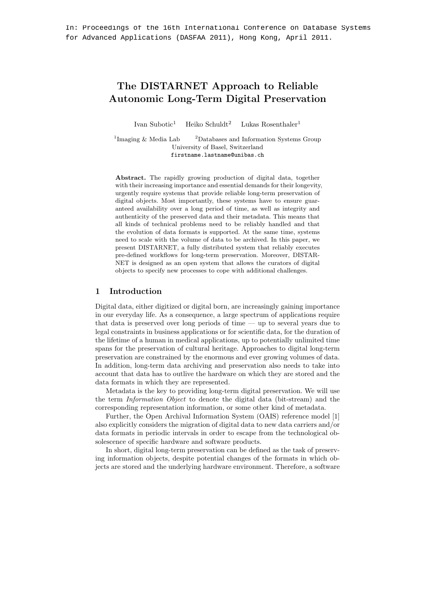# The DISTARNET Approach to Reliable Autonomic Long-Term Digital Preservation

Ivan Subotic<sup>1</sup> Heiko Schuldt<sup>2</sup> Lukas Rosenthaler<sup>1</sup>

<sup>1</sup>Imaging & Media Lab  $2$ Databases and Information Systems Group University of Basel, Switzerland firstname.lastname@unibas.ch

Abstract. The rapidly growing production of digital data, together with their increasing importance and essential demands for their longevity, urgently require systems that provide reliable long-term preservation of digital objects. Most importantly, these systems have to ensure guaranteed availability over a long period of time, as well as integrity and authenticity of the preserved data and their metadata. This means that all kinds of technical problems need to be reliably handled and that the evolution of data formats is supported. At the same time, systems need to scale with the volume of data to be archived. In this paper, we present DISTARNET, a fully distributed system that reliably executes pre-defined workflows for long-term preservation. Moreover, DISTAR-NET is designed as an open system that allows the curators of digital objects to specify new processes to cope with additional challenges.

## 1 Introduction

Digital data, either digitized or digital born, are increasingly gaining importance in our everyday life. As a consequence, a large spectrum of applications require that data is preserved over long periods of time — up to several years due to legal constraints in business applications or for scientific data, for the duration of the lifetime of a human in medical applications, up to potentially unlimited time spans for the preservation of cultural heritage. Approaches to digital long-term preservation are constrained by the enormous and ever growing volumes of data. In addition, long-term data archiving and preservation also needs to take into account that data has to outlive the hardware on which they are stored and the data formats in which they are represented.

Metadata is the key to providing long-term digital preservation. We will use the term Information Object to denote the digital data (bit-stream) and the corresponding representation information, or some other kind of metadata.

Further, the Open Archival Information System (OAIS) reference model [1] also explicitly considers the migration of digital data to new data carriers and/or data formats in periodic intervals in order to escape from the technological obsolescence of specific hardware and software products.

In short, digital long-term preservation can be defined as the task of preserving information objects, despite potential changes of the formats in which objects are stored and the underlying hardware environment. Therefore, a software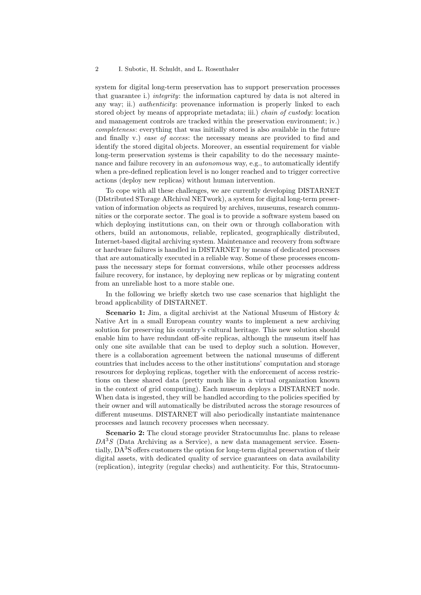system for digital long-term preservation has to support preservation processes that guarantee i.) integrity: the information captured by data is not altered in any way; ii.) *authenticity*: provenance information is properly linked to each stored object by means of appropriate metadata; iii.) *chain of custody*: location and management controls are tracked within the preservation environment; iv.) completeness: everything that was initially stored is also available in the future and finally v.) ease of access: the necessary means are provided to find and identify the stored digital objects. Moreover, an essential requirement for viable long-term preservation systems is their capability to do the necessary maintenance and failure recovery in an *autonomous* way, e.g., to automatically identify when a pre-defined replication level is no longer reached and to trigger corrective actions (deploy new replicas) without human intervention.

To cope with all these challenges, we are currently developing DISTARNET (DIstributed STorage ARchival NETwork), a system for digital long-term preservation of information objects as required by archives, museums, research communities or the corporate sector. The goal is to provide a software system based on which deploying institutions can, on their own or through collaboration with others, build an autonomous, reliable, replicated, geographically distributed, Internet-based digital archiving system. Maintenance and recovery from software or hardware failures is handled in DISTARNET by means of dedicated processes that are automatically executed in a reliable way. Some of these processes encompass the necessary steps for format conversions, while other processes address failure recovery, for instance, by deploying new replicas or by migrating content from an unreliable host to a more stable one.

In the following we briefly sketch two use case scenarios that highlight the broad applicability of DISTARNET.

Scenario 1: Jim, a digital archivist at the National Museum of History & Native Art in a small European country wants to implement a new archiving solution for preserving his country's cultural heritage. This new solution should enable him to have redundant off-site replicas, although the museum itself has only one site available that can be used to deploy such a solution. However, there is a collaboration agreement between the national museums of different countries that includes access to the other institutions' computation and storage resources for deploying replicas, together with the enforcement of access restrictions on these shared data (pretty much like in a virtual organization known in the context of grid computing). Each museum deploys a DISTARNET node. When data is ingested, they will be handled according to the policies specified by their owner and will automatically be distributed across the storage resources of different museums. DISTARNET will also periodically instantiate maintenance processes and launch recovery processes when necessary.

Scenario 2: The cloud storage provider Stratocumulus Inc. plans to release  $DA^{3}S$  (Data Archiving as a Service), a new data management service. Essentially, DA<sup>3</sup>S offers customers the option for long-term digital preservation of their digital assets, with dedicated quality of service guarantees on data availability (replication), integrity (regular checks) and authenticity. For this, Stratocumu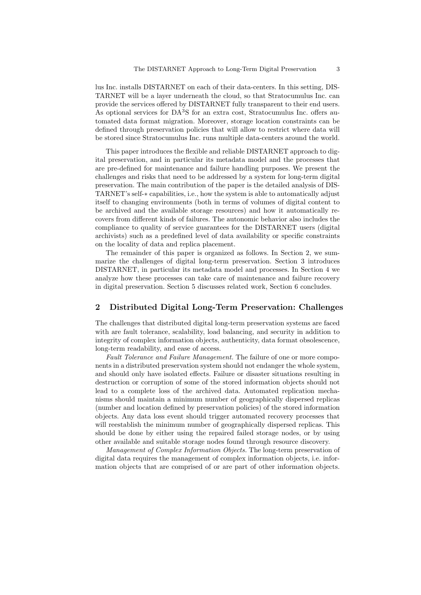lus Inc. installs DISTARNET on each of their data-centers. In this setting, DIS-TARNET will be a layer underneath the cloud, so that Stratocumulus Inc. can provide the services offered by DISTARNET fully transparent to their end users. As optional services for  $DA^{3}S$  for an extra cost, Stratocumulus Inc. offers automated data format migration. Moreover, storage location constraints can be defined through preservation policies that will allow to restrict where data will be stored since Stratocumulus Inc. runs multiple data-centers around the world.

This paper introduces the flexible and reliable DISTARNET approach to digital preservation, and in particular its metadata model and the processes that are pre-defined for maintenance and failure handling purposes. We present the challenges and risks that need to be addressed by a system for long-term digital preservation. The main contribution of the paper is the detailed analysis of DIS-TARNET's self-∗ capabilities, i.e., how the system is able to automatically adjust itself to changing environments (both in terms of volumes of digital content to be archived and the available storage resources) and how it automatically recovers from different kinds of failures. The autonomic behavior also includes the compliance to quality of service guarantees for the DISTARNET users (digital archivists) such as a predefined level of data availability or specific constraints on the locality of data and replica placement.

The remainder of this paper is organized as follows. In Section 2, we summarize the challenges of digital long-term preservation. Section 3 introduces DISTARNET, in particular its metadata model and processes. In Section 4 we analyze how these processes can take care of maintenance and failure recovery in digital preservation. Section 5 discusses related work, Section 6 concludes.

### 2 Distributed Digital Long-Term Preservation: Challenges

The challenges that distributed digital long-term preservation systems are faced with are fault tolerance, scalability, load balancing, and security in addition to integrity of complex information objects, authenticity, data format obsolescence, long-term readability, and ease of access.

Fault Tolerance and Failure Management. The failure of one or more components in a distributed preservation system should not endanger the whole system, and should only have isolated effects. Failure or disaster situations resulting in destruction or corruption of some of the stored information objects should not lead to a complete loss of the archived data. Automated replication mechanisms should maintain a minimum number of geographically dispersed replicas (number and location defined by preservation policies) of the stored information objects. Any data loss event should trigger automated recovery processes that will reestablish the minimum number of geographically dispersed replicas. This should be done by either using the repaired failed storage nodes, or by using other available and suitable storage nodes found through resource discovery.

Management of Complex Information Objects. The long-term preservation of digital data requires the management of complex information objects, i.e. information objects that are comprised of or are part of other information objects.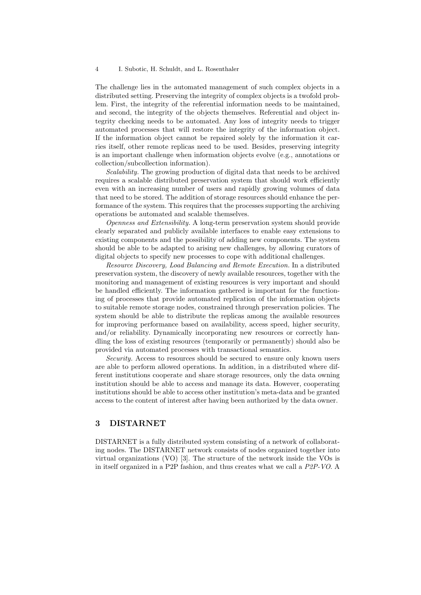The challenge lies in the automated management of such complex objects in a distributed setting. Preserving the integrity of complex objects is a twofold problem. First, the integrity of the referential information needs to be maintained, and second, the integrity of the objects themselves. Referential and object integrity checking needs to be automated. Any loss of integrity needs to trigger automated processes that will restore the integrity of the information object. If the information object cannot be repaired solely by the information it carries itself, other remote replicas need to be used. Besides, preserving integrity is an important challenge when information objects evolve (e.g., annotations or collection/subcollection information).

Scalability. The growing production of digital data that needs to be archived requires a scalable distributed preservation system that should work efficiently even with an increasing number of users and rapidly growing volumes of data that need to be stored. The addition of storage resources should enhance the performance of the system. This requires that the processes supporting the archiving operations be automated and scalable themselves.

Openness and Extensibility. A long-term preservation system should provide clearly separated and publicly available interfaces to enable easy extensions to existing components and the possibility of adding new components. The system should be able to be adapted to arising new challenges, by allowing curators of digital objects to specify new processes to cope with additional challenges.

Resource Discovery, Load Balancing and Remote Execution. In a distributed preservation system, the discovery of newly available resources, together with the monitoring and management of existing resources is very important and should be handled efficiently. The information gathered is important for the functioning of processes that provide automated replication of the information objects to suitable remote storage nodes, constrained through preservation policies. The system should be able to distribute the replicas among the available resources for improving performance based on availability, access speed, higher security, and/or reliability. Dynamically incorporating new resources or correctly handling the loss of existing resources (temporarily or permanently) should also be provided via automated processes with transactional semantics.

Security. Access to resources should be secured to ensure only known users are able to perform allowed operations. In addition, in a distributed where different institutions cooperate and share storage resources, only the data owning institution should be able to access and manage its data. However, cooperating institutions should be able to access other institution's meta-data and be granted access to the content of interest after having been authorized by the data owner.

## 3 DISTARNET

DISTARNET is a fully distributed system consisting of a network of collaborating nodes. The DISTARNET network consists of nodes organized together into virtual organizations (VO) [3]. The structure of the network inside the VOs is in itself organized in a P2P fashion, and thus creates what we call a P2P-VO. A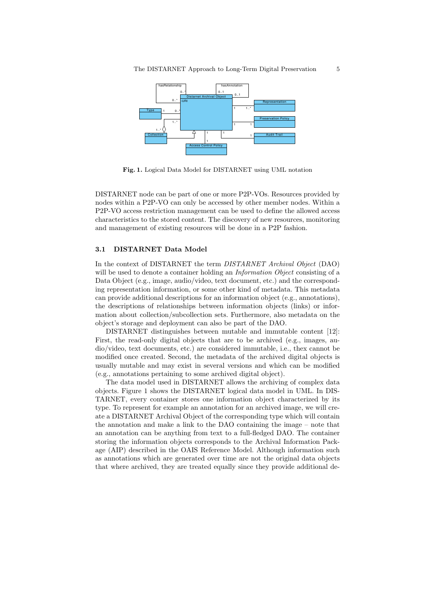

Fig. 1. Logical Data Model for DISTARNET using UML notation

DISTARNET node can be part of one or more P2P-VOs. Resources provided by nodes within a P2P-VO can only be accessed by other member nodes. Within a P2P-VO access restriction management can be used to define the allowed access characteristics to the stored content. The discovery of new resources, monitoring and management of existing resources will be done in a P2P fashion.

#### 3.1 DISTARNET Data Model

In the context of DISTARNET the term *DISTARNET Archival Object* (DAO) will be used to denote a container holding an *Information Object* consisting of a Data Object (e.g., image, audio/video, text document, etc.) and the corresponding representation information, or some other kind of metadata. This metadata can provide additional descriptions for an information object (e.g., annotations), the descriptions of relationships between information objects (links) or information about collection/subcollection sets. Furthermore, also metadata on the object's storage and deployment can also be part of the DAO.

DISTARNET distinguishes between mutable and immutable content [12]: First, the read-only digital objects that are to be archived (e.g., images, audio/video, text documents, etc.) are considered immutable, i.e., thex cannot be modified once created. Second, the metadata of the archived digital objects is usually mutable and may exist in several versions and which can be modified (e.g., annotations pertaining to some archived digital object).

The data model used in DISTARNET allows the archiving of complex data objects. Figure 1 shows the DISTARNET logical data model in UML. In DIS-TARNET, every container stores one information object characterized by its type. To represent for example an annotation for an archived image, we will create a DISTARNET Archival Object of the corresponding type which will contain the annotation and make a link to the DAO containing the image – note that an annotation can be anything from text to a full-fledged DAO. The container storing the information objects corresponds to the Archival Information Package (AIP) described in the OAIS Reference Model. Although information such as annotations which are generated over time are not the original data objects that where archived, they are treated equally since they provide additional de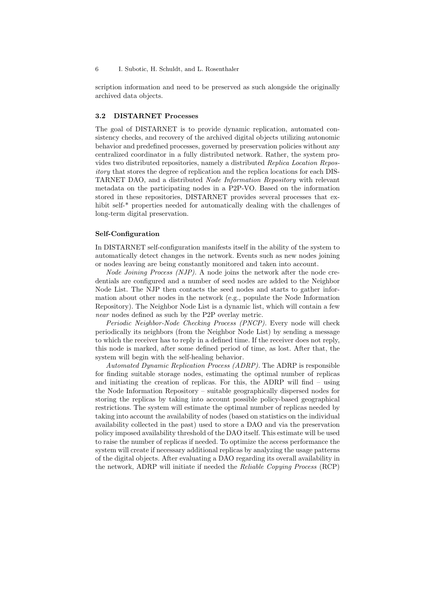scription information and need to be preserved as such alongside the originally archived data objects.

#### 3.2 DISTARNET Processes

The goal of DISTARNET is to provide dynamic replication, automated consistency checks, and recovery of the archived digital objects utilizing autonomic behavior and predefined processes, governed by preservation policies without any centralized coordinator in a fully distributed network. Rather, the system provides two distributed repositories, namely a distributed Replica Location Repository that stores the degree of replication and the replica locations for each DIS-TARNET DAO, and a distributed Node Information Repository with relevant metadata on the participating nodes in a P2P-VO. Based on the information stored in these repositories, DISTARNET provides several processes that exhibit self-\* properties needed for automatically dealing with the challenges of long-term digital preservation.

#### Self-Configuration

In DISTARNET self-configuration manifests itself in the ability of the system to automatically detect changes in the network. Events such as new nodes joining or nodes leaving are being constantly monitored and taken into account.

Node Joining Process (NJP). A node joins the network after the node credentials are configured and a number of seed nodes are added to the Neighbor Node List. The NJP then contacts the seed nodes and starts to gather information about other nodes in the network (e.g., populate the Node Information Repository). The Neighbor Node List is a dynamic list, which will contain a few near nodes defined as such by the P2P overlay metric.

Periodic Neighbor-Node Checking Process (PNCP). Every node will check periodically its neighbors (from the Neighbor Node List) by sending a message to which the receiver has to reply in a defined time. If the receiver does not reply, this node is marked, after some defined period of time, as lost. After that, the system will begin with the self-healing behavior.

Automated Dynamic Replication Process (ADRP). The ADRP is responsible for finding suitable storage nodes, estimating the optimal number of replicas and initiating the creation of replicas. For this, the ADRP will find – using the Node Information Repository – suitable geographically dispersed nodes for storing the replicas by taking into account possible policy-based geographical restrictions. The system will estimate the optimal number of replicas needed by taking into account the availability of nodes (based on statistics on the individual availability collected in the past) used to store a DAO and via the preservation policy imposed availability threshold of the DAO itself. This estimate will be used to raise the number of replicas if needed. To optimize the access performance the system will create if necessary additional replicas by analyzing the usage patterns of the digital objects. After evaluating a DAO regarding its overall availability in the network, ADRP will initiate if needed the Reliable Copying Process (RCP)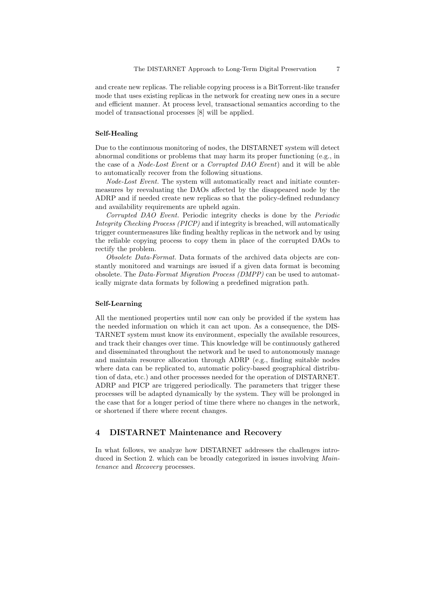and create new replicas. The reliable copying process is a BitTorrent-like transfer mode that uses existing replicas in the network for creating new ones in a secure and efficient manner. At process level, transactional semantics according to the model of transactional processes [8] will be applied.

#### Self-Healing

Due to the continuous monitoring of nodes, the DISTARNET system will detect abnormal conditions or problems that may harm its proper functioning (e.g., in the case of a Node-Lost Event or a Corrupted DAO Event) and it will be able to automatically recover from the following situations.

Node-Lost Event. The system will automatically react and initiate countermeasures by reevaluating the DAOs affected by the disappeared node by the ADRP and if needed create new replicas so that the policy-defined redundancy and availability requirements are upheld again.

Corrupted DAO Event. Periodic integrity checks is done by the Periodic Integrity Checking Process (PICP) and if integrity is breached, will automatically trigger countermeasures like finding healthy replicas in the network and by using the reliable copying process to copy them in place of the corrupted DAOs to rectify the problem.

Obsolete Data-Format. Data formats of the archived data objects are constantly monitored and warnings are issued if a given data format is becoming obsolete. The Data-Format Migration Process (DMPP) can be used to automatically migrate data formats by following a predefined migration path.

#### Self-Learning

All the mentioned properties until now can only be provided if the system has the needed information on which it can act upon. As a consequence, the DIS-TARNET system must know its environment, especially the available resources, and track their changes over time. This knowledge will be continuously gathered and disseminated throughout the network and be used to autonomously manage and maintain resource allocation through ADRP (e.g., finding suitable nodes where data can be replicated to, automatic policy-based geographical distribution of data, etc.) and other processes needed for the operation of DISTARNET. ADRP and PICP are triggered periodically. The parameters that trigger these processes will be adapted dynamically by the system. They will be prolonged in the case that for a longer period of time there where no changes in the network, or shortened if there where recent changes.

## 4 DISTARNET Maintenance and Recovery

In what follows, we analyze how DISTARNET addresses the challenges introduced in Section 2. which can be broadly categorized in issues involving Maintenance and Recovery processes.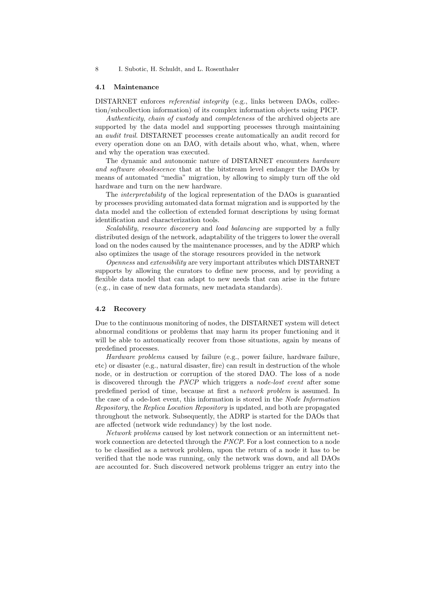#### 4.1 Maintenance

DISTARNET enforces referential integrity (e.g., links between DAOs, collection/subcollection information) of its complex information objects using PICP.

Authenticity, chain of custody and completeness of the archived objects are supported by the data model and supporting processes through maintaining an audit trail. DISTARNET processes create automatically an audit record for every operation done on an DAO, with details about who, what, when, where and why the operation was executed.

The dynamic and autonomic nature of DISTARNET encounters hardware and software obsolescence that at the bitstream level endanger the DAOs by means of automated "media" migration, by allowing to simply turn off the old hardware and turn on the new hardware.

The interpretability of the logical representation of the DAOs is guarantied by processes providing automated data format migration and is supported by the data model and the collection of extended format descriptions by using format identification and characterization tools.

Scalability, resource discovery and load balancing are supported by a fully distributed design of the network, adaptability of the triggers to lower the overall load on the nodes caused by the maintenance processes, and by the ADRP which also optimizes the usage of the storage resources provided in the network

Openness and extensibility are very important attributes which DISTARNET supports by allowing the curators to define new process, and by providing a flexible data model that can adapt to new needs that can arise in the future (e.g., in case of new data formats, new metadata standards).

#### 4.2 Recovery

Due to the continuous monitoring of nodes, the DISTARNET system will detect abnormal conditions or problems that may harm its proper functioning and it will be able to automatically recover from those situations, again by means of predefined processes.

Hardware problems caused by failure (e.g., power failure, hardware failure, etc) or disaster (e.g., natural disaster, fire) can result in destruction of the whole node, or in destruction or corruption of the stored DAO. The loss of a node is discovered through the PNCP which triggers a node-lost event after some predefined period of time, because at first a network problem is assumed. In the case of a ode-lost event, this information is stored in the Node Information Repository, the Replica Location Repository is updated, and both are propagated throughout the network. Subsequently, the ADRP is started for the DAOs that are affected (network wide redundancy) by the lost node.

Network problems caused by lost network connection or an intermittent network connection are detected through the *PNCP*. For a lost connection to a node to be classified as a network problem, upon the return of a node it has to be verified that the node was running, only the network was down, and all DAOs are accounted for. Such discovered network problems trigger an entry into the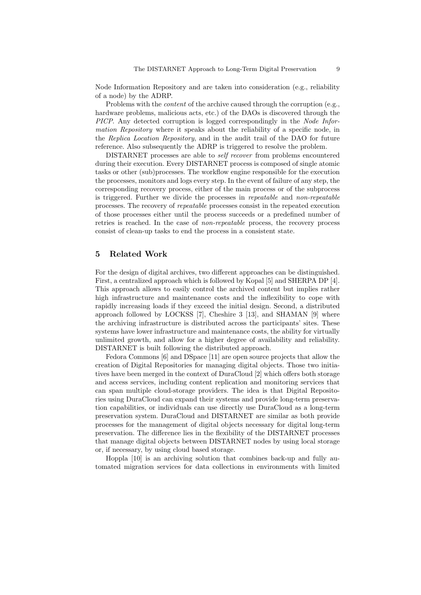Node Information Repository and are taken into consideration (e.g., reliability of a node) by the ADRP.

Problems with the content of the archive caused through the corruption (e.g., hardware problems, malicious acts, etc.) of the DAOs is discovered through the PICP. Any detected corruption is logged correspondingly in the Node Information Repository where it speaks about the reliability of a specific node, in the Replica Location Repository, and in the audit trail of the DAO for future reference. Also subsequently the ADRP is triggered to resolve the problem.

DISTARNET processes are able to self recover from problems encountered during their execution. Every DISTARNET process is composed of single atomic tasks or other (sub)processes. The workflow engine responsible for the execution the processes, monitors and logs every step. In the event of failure of any step, the corresponding recovery process, either of the main process or of the subprocess is triggered. Further we divide the processes in repeatable and non-repeatable processes. The recovery of repeatable processes consist in the repeated execution of those processes either until the process succeeds or a predefined number of retries is reached. In the case of non-repeatable process, the recovery process consist of clean-up tasks to end the process in a consistent state.

## 5 Related Work

For the design of digital archives, two different approaches can be distinguished. First, a centralized approach which is followed by Kopal [5] and SHERPA DP [4]. This approach allows to easily control the archived content but implies rather high infrastructure and maintenance costs and the inflexibility to cope with rapidly increasing loads if they exceed the initial design. Second, a distributed approach followed by LOCKSS [7], Cheshire 3 [13], and SHAMAN [9] where the archiving infrastructure is distributed across the participants' sites. These systems have lower infrastructure and maintenance costs, the ability for virtually unlimited growth, and allow for a higher degree of availability and reliability. DISTARNET is built following the distributed approach.

Fedora Commons [6] and DSpace [11] are open source projects that allow the creation of Digital Repositories for managing digital objects. Those two initiatives have been merged in the context of DuraCloud [2] which offers both storage and access services, including content replication and monitoring services that can span multiple cloud-storage providers. The idea is that Digital Repositories using DuraCloud can expand their systems and provide long-term preservation capabilities, or individuals can use directly use DuraCloud as a long-term preservation system. DuraCloud and DISTARNET are similar as both provide processes for the management of digital objects necessary for digital long-term preservation. The difference lies in the flexibility of the DISTARNET processes that manage digital objects between DISTARNET nodes by using local storage or, if necessary, by using cloud based storage.

Hoppla [10] is an archiving solution that combines back-up and fully automated migration services for data collections in environments with limited